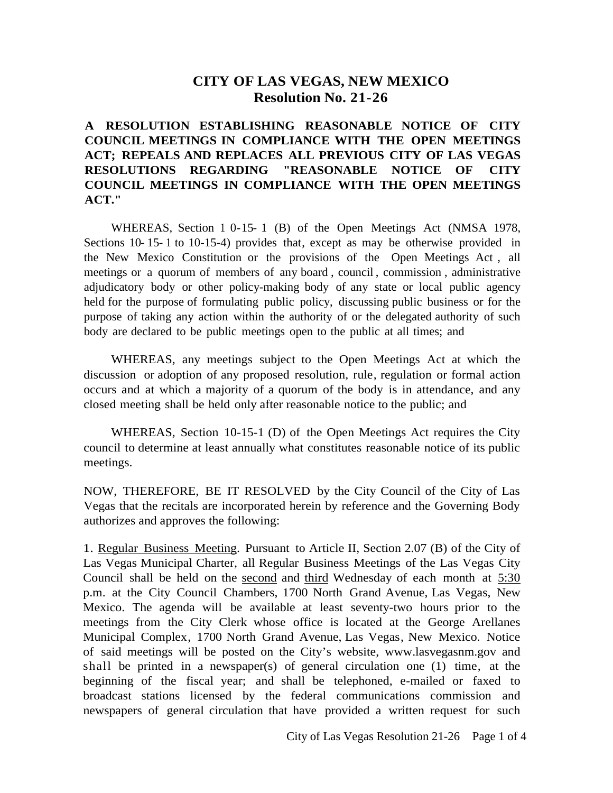## **CITY OF LAS VEGAS, NEW MEXICO Resolution No. 21-26**

## **A RESOLUTION ESTABLISHING REASONABLE NOTICE OF CITY COUNCIL MEETINGS IN COMPLIANCE WITH THE OPEN MEETINGS ACT; REPEALS AND REPLACES ALL PREVIOUS CITY OF LAS VEGAS RESOLUTIONS REGARDING "REASONABLE NOTICE OF CITY COUNCIL MEETINGS IN COMPLIANCE WITH THE OPEN MEETINGS ACT."**

WHEREAS, Section 1 0-15- 1 (B) of the Open Meetings Act (NMSA 1978, Sections 10- 15- 1 to 10-15-4) provides that, except as may be otherwise provided in the New Mexico Constitution or the provisions of the Open Meetings Act , all meetings or a quorum of members of any board , council , commission , administrative adjudicatory body or other policy-making body of any state or local public agency held for the purpose of formulating public policy, discussing public business or for the purpose of taking any action within the authority of or the delegated authority of such body are declared to be public meetings open to the public at all times; and

WHEREAS, any meetings subject to the Open Meetings Act at which the discussion or adoption of any proposed resolution, rule, regulation or formal action occurs and at which a majority of a quorum of the body is in attendance, and any closed meeting shall be held only after reasonable notice to the public; and

WHEREAS, Section 10-15-1 (D) of the Open Meetings Act requires the City council to determine at least annually what constitutes reasonable notice of its public meetings.

NOW, THEREFORE, BE IT RESOLVED by the City Council of the City of Las Vegas that the recitals are incorporated herein by reference and the Governing Body authorizes and approves the following:

1. Regular Business Meeting. Pursuant to Article II, Section 2.07 (B) of the City of Las Vegas Municipal Charter, all Regular Business Meetings of the Las Vegas City Council shall be held on the second and third Wednesday of each month at 5:30 p.m. at the City Council Chambers, 1700 North Grand Avenue, Las Vegas, New Mexico. The agenda will be available at least seventy-two hours prior to the meetings from the City Clerk whose office is located at the George Arellanes Municipal Complex, 1700 North Grand Avenue, Las Vegas, New Mexico. Notice of said meetings will be posted on the City's website, www.lasvegasnm.gov and shall be printed in a newspaper(s) of general circulation one (1) time, at the beginning of the fiscal year; and shall be telephoned, e-mailed or faxed to broadcast stations licensed by the federal communications commission and newspapers of general circulation that have provided a written request for such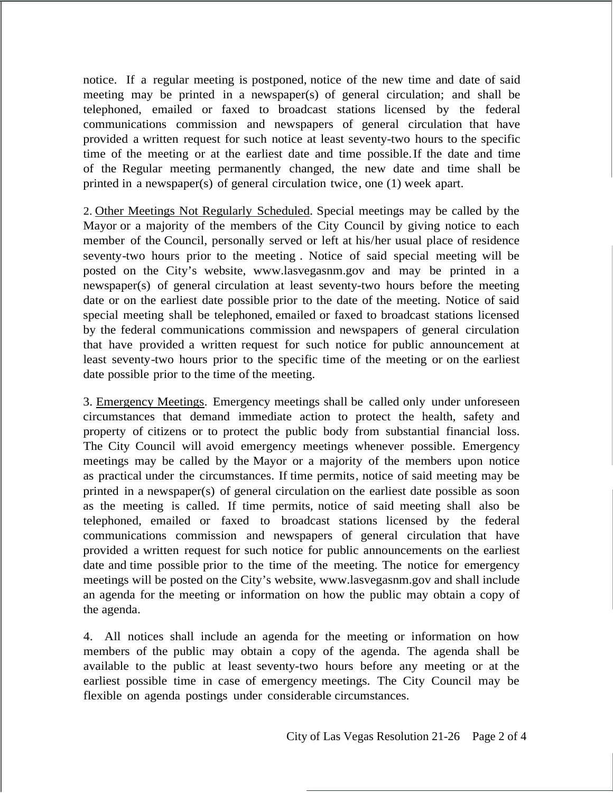notice. If a regular meeting is postponed, notice of the new time and date of said meeting may be printed in a newspaper(s) of general circulation; and shall be telephoned, emailed or faxed to broadcast stations licensed by the federal communications commission and newspapers of general circulation that have provided a written request for such notice at least seventy-two hours to the specific time of the meeting or at the earliest date and time possible. If the date and time of the Regular meeting permanently changed, the new date and time shall be printed in a newspaper(s) of general circulation twice, one (1) week apart.

2. Other Meetings Not Regularly Scheduled.Special meetings may be called by the Mayor or a majority of the members of the City Council by giving notice to each member of the Council, personally served or left at his/her usual place of residence seventy-two hours prior to the meeting . Notice of said special meeting will be posted on the City's website, www.lasvegasnm.gov and may be printed in a newspaper(s) of general circulation at least seventy-two hours before the meeting date or on the earliest date possible prior to the date of the meeting. Notice of said special meeting shall be telephoned, emailed or faxed to broadcast stations licensed by the federal communications commission and newspapers of general circulation that have provided a written request for such notice for public announcement at least seventy-two hours prior to the specific time of the meeting or on the earliest date possible prior to the time of the meeting.

3. Emergency Meetings. Emergency meetings shall be called only under unforeseen circumstances that demand immediate action to protect the health, safety and property of citizens or to protect the public body from substantial financial loss. The City Council will avoid emergency meetings whenever possible. Emergency meetings may be called by the Mayor or a majority of the members upon notice as practical under the circumstances. If time permits, notice of said meeting may be printed in a newspaper(s) of general circulation on the earliest date possible as soon as the meeting is called. If time permits, notice of said meeting shall also be telephoned, emailed or faxed to broadcast stations licensed by the federal communications commission and newspapers of general circulation that have provided a written request for such notice for public announcements on the earliest date and time possible prior to the time of the meeting. The notice for emergency meetings will be posted on the City's website, www.lasvegasnm.gov and shall include an agenda for the meeting or information on how the public may obtain a copy of the agenda.

4. All notices shall include an agenda for the meeting or information on how members of the public may obtain a copy of the agenda. The agenda shall be available to the public at least seventy-two hours before any meeting or at the earliest possible time in case of emergency meetings. The City Council may be flexible on agenda postings under considerable circumstances.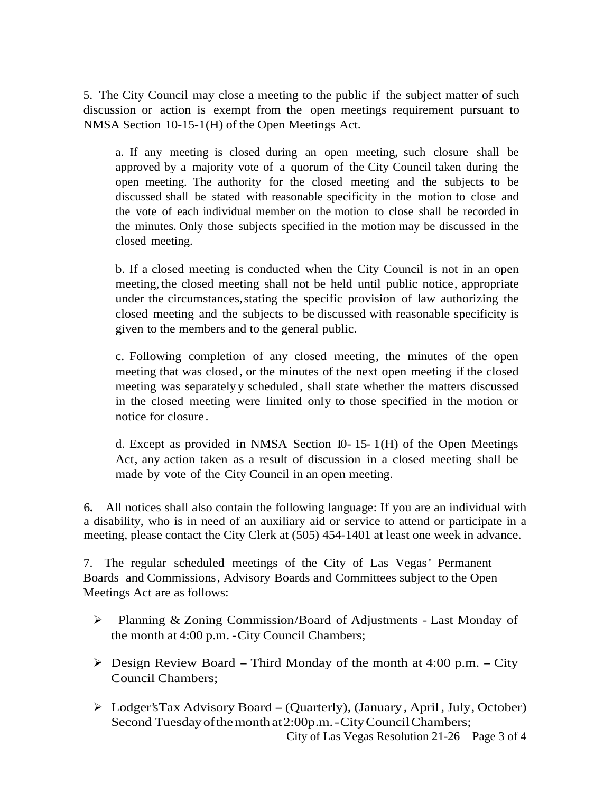5. The City Council may close a meeting to the public if the subject matter of such discussion or action is exempt from the open meetings requirement pursuant to NMSA Section 10-15-1(H) of the Open Meetings Act.

a. If any meeting is closed during an open meeting, such closure shall be approved by a majority vote of a quorum of the City Council taken during the open meeting. The authority for the closed meeting and the subjects to be discussed shall be stated with reasonable specificity in the motion to close and the vote of each individual member on the motion to close shall be recorded in the minutes. Only those subjects specified in the motion may be discussed in the closed meeting.

b. If a closed meeting is conducted when the City Council is not in an open meeting, the closed meeting shall not be held until public notice, appropriate under the circumstances, stating the specific provision of law authorizing the closed meeting and the subjects to be discussed with reasonable specificity is given to the members and to the general public.

c. Following completion of any closed meeting, the minutes of the open meeting that was closed , or the minutes of the next open meeting if the closed meeting was separately y scheduled , shall state whether the matters discussed in the closed meeting were limited only to those specified in the motion or notice for closure.

d. Except as provided in NMSA Section I0- 15- 1(H) of the Open Meetings Act, any action taken as a result of discussion in a closed meeting shall be made by vote of the City Council in an open meeting.

6**.** All notices shall also contain the following language: If you are an individual with a disability, who is in need of an auxiliary aid or service to attend or participate in a meeting, please contact the City Clerk at (505) 454-1401 at least one week in advance.

7. The regular scheduled meetings of the City of Las Vegas' Permanent Boards and Commissions, Advisory Boards and Committees subject to the Open Meetings Act are as follows:

- Planning & Zoning Commission/Board of Adjustments Last Monday of the month at 4:00 p.m. -City Council Chambers;
- $\triangleright$  Design Review Board Third Monday of the month at 4:00 p.m. City Council Chambers;
- City of Las Vegas Resolution 21-26 Page 3 of 4 Lodger'sTax Advisory Board -(Quarterly), (January , April, July, October) Second Tuesday of the month at 2:00p.m. - City Council Chambers;